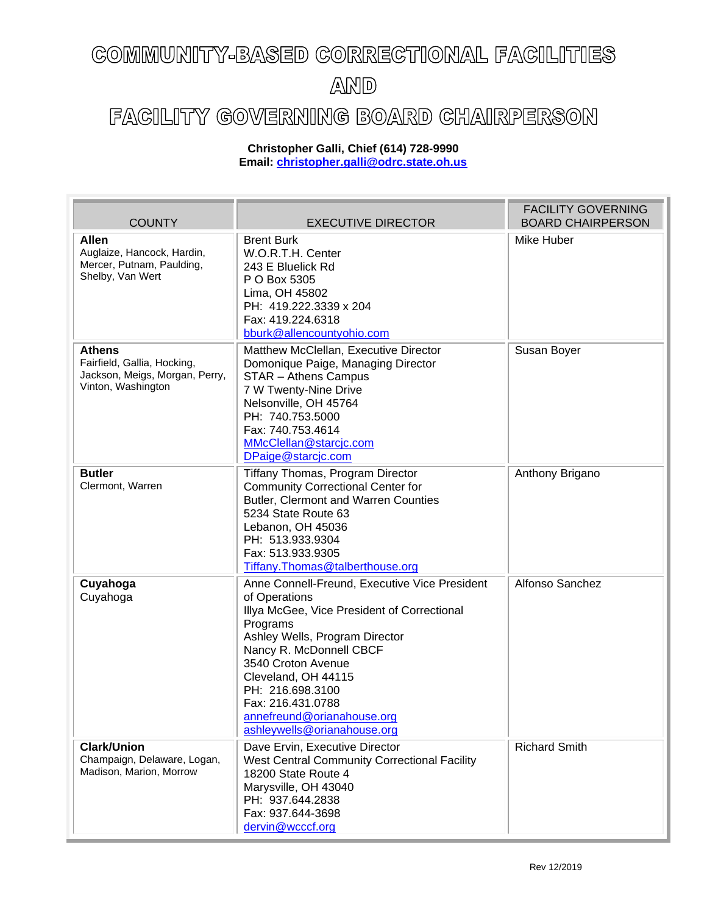## COMMUNITY-BASED CORRECTIONAL FACILITIES AND

## FACILITY GOVERNING BOARD CHAIRPERSON

## **Christopher Galli, Chief (614) 728-9990 Email: [christopher.galli@odrc.state.oh.us](mailto:christopher.galli@odrc.state.oh.us)**

| <b>COUNTY</b>                                                                                        | <b>EXECUTIVE DIRECTOR</b>                                                                                                                                                                                                                                                                                                                 | <b>FACILITY GOVERNING</b><br><b>BOARD CHAIRPERSON</b> |
|------------------------------------------------------------------------------------------------------|-------------------------------------------------------------------------------------------------------------------------------------------------------------------------------------------------------------------------------------------------------------------------------------------------------------------------------------------|-------------------------------------------------------|
| <b>Allen</b><br>Auglaize, Hancock, Hardin,<br>Mercer, Putnam, Paulding,<br>Shelby, Van Wert          | <b>Brent Burk</b><br>W.O.R.T.H. Center<br>243 E Bluelick Rd<br>P O Box 5305<br>Lima, OH 45802<br>PH: 419.222.3339 x 204<br>Fax: 419.224.6318<br>bburk@allencountyohio.com                                                                                                                                                                 | Mike Huber                                            |
| <b>Athens</b><br>Fairfield, Gallia, Hocking,<br>Jackson, Meigs, Morgan, Perry,<br>Vinton, Washington | Matthew McClellan, Executive Director<br>Domonique Paige, Managing Director<br>STAR - Athens Campus<br>7 W Twenty-Nine Drive<br>Nelsonville, OH 45764<br>PH: 740.753.5000<br>Fax: 740.753.4614<br>MMcClellan@starcjc.com<br>DPaige@starcjc.com                                                                                            | Susan Boyer                                           |
| <b>Butler</b><br>Clermont, Warren                                                                    | Tiffany Thomas, Program Director<br><b>Community Correctional Center for</b><br>Butler, Clermont and Warren Counties<br>5234 State Route 63<br>Lebanon, OH 45036<br>PH: 513.933.9304<br>Fax: 513.933.9305<br>Tiffany. Thomas @talberthouse.org                                                                                            | Anthony Brigano                                       |
| Cuyahoga<br>Cuyahoga                                                                                 | Anne Connell-Freund, Executive Vice President<br>of Operations<br>Illya McGee, Vice President of Correctional<br>Programs<br>Ashley Wells, Program Director<br>Nancy R. McDonnell CBCF<br>3540 Croton Avenue<br>Cleveland, OH 44115<br>PH: 216.698.3100<br>Fax: 216.431.0788<br>annefreund@orianahouse.org<br>ashleywells@orianahouse.org | Alfonso Sanchez                                       |
| <b>Clark/Union</b><br>Champaign, Delaware, Logan,<br>Madison, Marion, Morrow                         | Dave Ervin, Executive Director<br>West Central Community Correctional Facility<br>18200 State Route 4<br>Marysville, OH 43040<br>PH: 937.644.2838<br>Fax: 937.644-3698<br>dervin@wcccf.org                                                                                                                                                | <b>Richard Smith</b>                                  |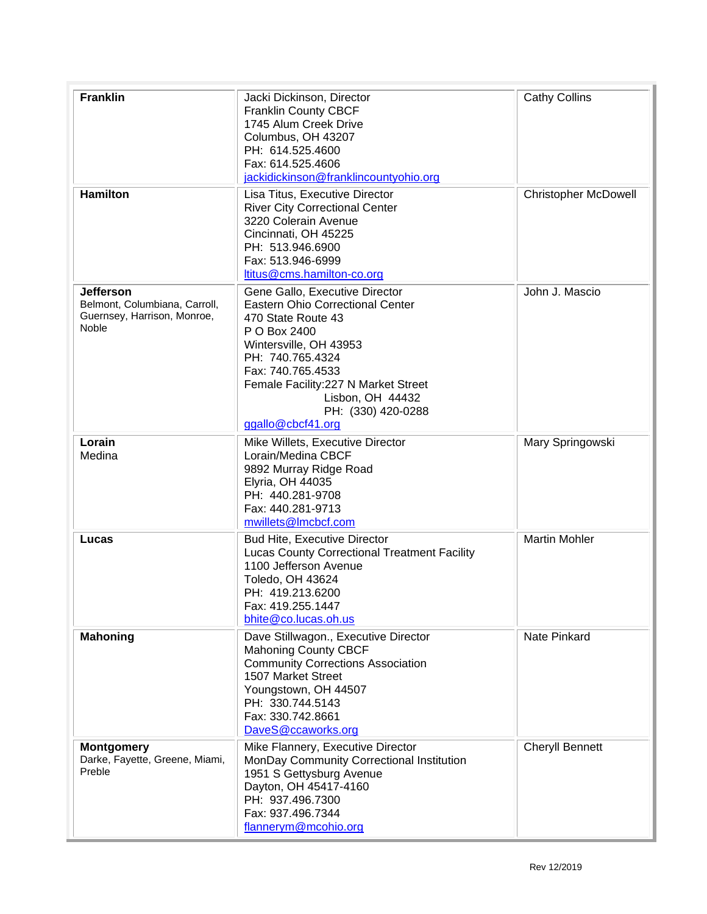| <b>Franklin</b>                                                                                  | Jacki Dickinson, Director<br><b>Franklin County CBCF</b><br>1745 Alum Creek Drive<br>Columbus, OH 43207<br>PH: 614.525.4600<br>Fax: 614.525.4606<br>jackidickinson@franklincountyohio.org                                                                                          | <b>Cathy Collins</b>        |
|--------------------------------------------------------------------------------------------------|------------------------------------------------------------------------------------------------------------------------------------------------------------------------------------------------------------------------------------------------------------------------------------|-----------------------------|
| <b>Hamilton</b>                                                                                  | Lisa Titus, Executive Director<br><b>River City Correctional Center</b><br>3220 Colerain Avenue<br>Cincinnati, OH 45225<br>PH: 513.946.6900<br>Fax: 513.946-6999<br>ltitus@cms.hamilton-co.org                                                                                     | <b>Christopher McDowell</b> |
| <b>Jefferson</b><br>Belmont, Columbiana, Carroll,<br>Guernsey, Harrison, Monroe,<br><b>Noble</b> | Gene Gallo, Executive Director<br>Eastern Ohio Correctional Center<br>470 State Route 43<br>P O Box 2400<br>Wintersville, OH 43953<br>PH: 740.765.4324<br>Fax: 740.765.4533<br>Female Facility: 227 N Market Street<br>Lisbon, OH 44432<br>PH: (330) 420-0288<br>ggallo@cbcf41.org | John J. Mascio              |
| Lorain<br>Medina                                                                                 | Mike Willets, Executive Director<br>Lorain/Medina CBCF<br>9892 Murray Ridge Road<br>Elyria, OH 44035<br>PH: 440.281-9708<br>Fax: 440.281-9713<br>mwillets@Imcbcf.com                                                                                                               | Mary Springowski            |
| Lucas                                                                                            | <b>Bud Hite, Executive Director</b><br><b>Lucas County Correctional Treatment Facility</b><br>1100 Jefferson Avenue<br>Toledo, OH 43624<br>PH: 419.213.6200<br>Fax: 419.255.1447<br>bhite@co.lucas.oh.us                                                                           | <b>Martin Mohler</b>        |
| <b>Mahoning</b>                                                                                  | Dave Stillwagon., Executive Director<br><b>Mahoning County CBCF</b><br><b>Community Corrections Association</b><br>1507 Market Street<br>Youngstown, OH 44507<br>PH: 330.744.5143<br>Fax: 330.742.8661<br>DaveS@ccaworks.org                                                       | Nate Pinkard                |
| <b>Montgomery</b><br>Darke, Fayette, Greene, Miami,<br>Preble                                    | Mike Flannery, Executive Director<br>MonDay Community Correctional Institution<br>1951 S Gettysburg Avenue<br>Dayton, OH 45417-4160<br>PH: 937.496.7300<br>Fax: 937.496.7344<br>flannerym@mcohio.org                                                                               | <b>Cheryll Bennett</b>      |